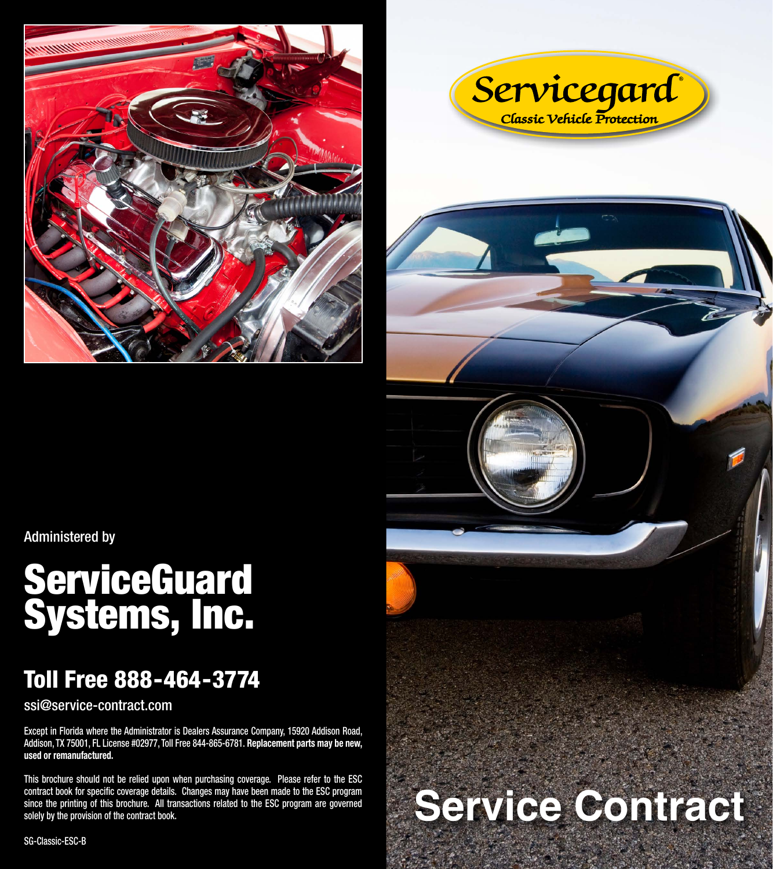



Administered by

# **ServiceGuard** Systems, Inc.

# Toll Free 888-464-3774

ssi@service-contract.com

Except in Florida where the Administrator is Dealers Assurance Company, 15920 Addison Road, Addison, TX 75001, FL License #02977, Toll Free 844-865-6781. **Replacement parts may be new, used or remanufactured.** 

This brochure should not be relied upon when purchasing coverage. Please refer to the ESC contract book for specific coverage details. Changes may have been made to the ESC program since the printing of this brochure. All transactions related to the ESC program are governed solely by the provision of the contract book.

# **Service Contract**